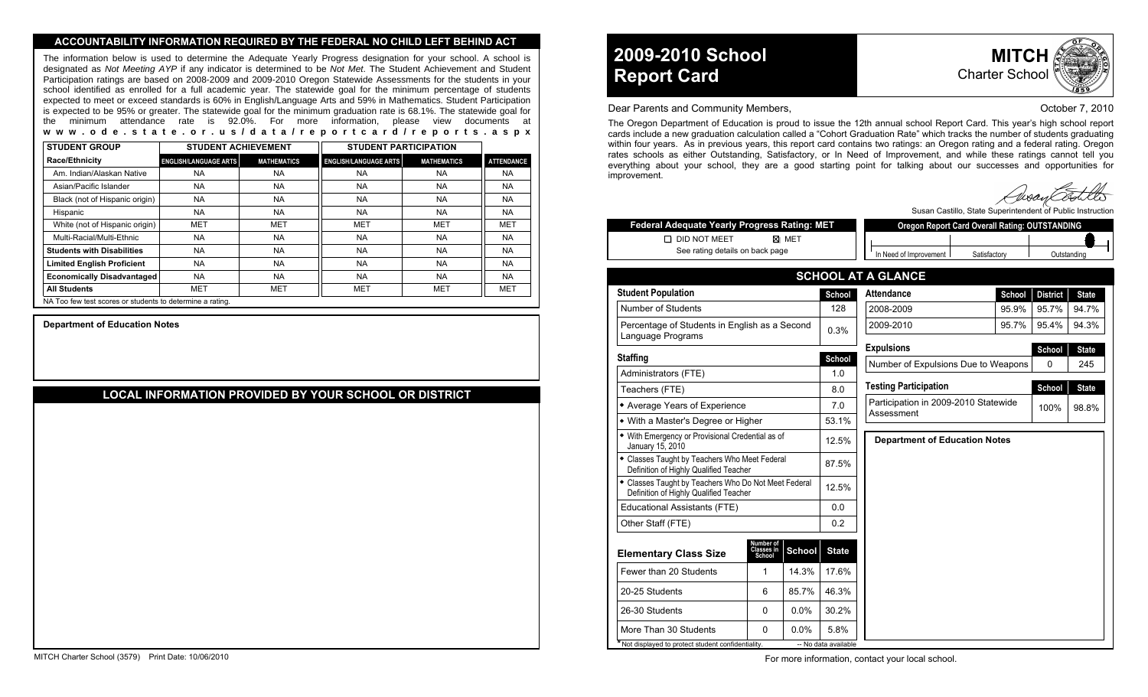#### **ACCOUNTABILITY INFORMATION REQUIRED BY THE FEDERAL NO CHILD LEFT BEHIND ACT**

The information below is used to determine the Adequate Yearly Progress designation for your school. A school is designated as Not Meeting AYP if any indicator is determined to be Not Met. The Student Achievement and Student Participation ratings are based on 2008-2009 and 2009-2010 Oregon Statewide Assessments for the students in your school identified as enrolled for a full academic year. The statewide goal for the minimum percentage of students expected to meet or exceed standards is 60% in English/Language Arts and 59% in Mathematics. Student Participation is expected to be 95% or greater. The statewide goal for the minimum graduation rate is 68.1%. The statewide goal for the minimum attendance rate is 92.0%. For more information, please view documents at **www.ode.state.or.us/data/reportcard/reports.aspx**

| <b>STUDENT GROUP</b>                                      | <b>STUDENT ACHIEVEMENT</b>   |                    | <b>STUDENT PARTICIPATION</b> |                    |                   |
|-----------------------------------------------------------|------------------------------|--------------------|------------------------------|--------------------|-------------------|
| <b>Race/Ethnicity</b>                                     | <b>ENGLISH/LANGUAGE ARTS</b> | <b>MATHEMATICS</b> | <b>ENGLISH/LANGUAGE ARTS</b> | <b>MATHEMATICS</b> | <b>ATTENDANCE</b> |
| Am. Indian/Alaskan Native                                 | NA                           | <b>NA</b>          | <b>NA</b>                    | <b>NA</b>          | <b>NA</b>         |
| Asian/Pacific Islander                                    | NA                           | <b>NA</b>          | <b>NA</b>                    | <b>NA</b>          | NA.               |
| Black (not of Hispanic origin)                            | <b>NA</b>                    | <b>NA</b>          | <b>NA</b>                    | <b>NA</b>          | NA.               |
| Hispanic                                                  | <b>NA</b>                    | <b>NA</b>          | <b>NA</b>                    | <b>NA</b>          | NA.               |
| White (not of Hispanic origin)                            | <b>MET</b>                   | <b>MET</b>         | <b>MET</b>                   | <b>MET</b>         | MET               |
| Multi-Racial/Multi-Ethnic                                 | <b>NA</b>                    | <b>NA</b>          | <b>NA</b>                    | <b>NA</b>          | NA.               |
| <b>Students with Disabilities</b>                         | <b>NA</b>                    | <b>NA</b>          | <b>NA</b>                    | <b>NA</b>          | <b>NA</b>         |
| <b>Limited English Proficient</b>                         | NA                           | <b>NA</b>          | <b>NA</b>                    | <b>NA</b>          | NA.               |
| <b>Economically Disadvantaged</b>                         | <b>NA</b>                    | <b>NA</b>          | <b>NA</b>                    | <b>NA</b>          | <b>NA</b>         |
| <b>All Students</b>                                       | MET                          | MET                | <b>MET</b>                   | MET                | MET               |
| NA Too few test scores or students to determine a rating. |                              |                    |                              |                    |                   |

**Department of Education Notes**

# **LOCAL INFORMATION PROVIDED BY YOUR SCHOOL OR DISTRICT**

# **2009-2010 School Report Card**



#### Dear Parents and Community Members, New York 1988, New York 1988, New York 1989, New York 1989, New York 1989, N

The Oregon Department of Education is proud to issue the 12th annual school Report Card. This year's high school report cards include a new graduation calculation called a "Cohort Graduation Rate" which tracks the number of students graduating within four years. As in previous years, this report card contains two ratings: an Oregon rating and a federal rating. Oregon rates schools as either Outstanding, Satisfactory, or In Need of Improvement, and while these ratings cannot tell you everything about your school, they are a good starting point for talking about our successes and opportunities for improvement.

Susan Castillo, State Superintendent of Public Instruction

| <b>Federal Adequate Yearly Progress Rating: MET</b>                                            |                                   |               |                                        | Oregon Report Card Overall Rating: OUTSTANDING |                                      |       |                                 |          |              |  |
|------------------------------------------------------------------------------------------------|-----------------------------------|---------------|----------------------------------------|------------------------------------------------|--------------------------------------|-------|---------------------------------|----------|--------------|--|
| <b>DID NOT MEET</b><br>⊠ MET                                                                   |                                   |               |                                        |                                                |                                      |       |                                 |          |              |  |
| See rating details on back page                                                                |                                   |               | In Need of Improvement<br>Satisfactory |                                                |                                      |       | Outstanding                     |          |              |  |
|                                                                                                |                                   |               |                                        |                                                | <b>SCHOOL AT A GLANCE</b>            |       |                                 |          |              |  |
| <b>Student Population</b>                                                                      |                                   | School        |                                        | <b>Attendance</b><br>School                    |                                      |       | <b>District</b><br><b>State</b> |          |              |  |
| Number of Students                                                                             |                                   |               | 128                                    |                                                | 2008-2009<br>95.9%                   |       |                                 | 95.7%    | 94.7%        |  |
| Percentage of Students in English as a Second<br>Language Programs                             |                                   |               | 0.3%                                   |                                                | 2009-2010                            | 95.4% | 94.3%                           |          |              |  |
|                                                                                                |                                   |               |                                        |                                                | <b>Expulsions</b>                    |       |                                 | School   | <b>State</b> |  |
| <b>Staffing</b>                                                                                |                                   |               | School<br>1.0                          |                                                | Number of Expulsions Due to Weapons  |       |                                 | $\Omega$ | 245          |  |
| Administrators (FTE)<br>Teachers (FTE)                                                         |                                   |               | 8.0                                    |                                                | <b>Testing Participation</b>         |       |                                 | School   | <b>State</b> |  |
| • Average Years of Experience                                                                  |                                   |               | 7.0                                    |                                                | Participation in 2009-2010 Statewide |       |                                 |          |              |  |
| • With a Master's Degree or Higher                                                             |                                   |               | 53.1%                                  |                                                | Assessment                           |       |                                 | 100%     | 98.8%        |  |
| · With Emergency or Provisional Credential as of<br>January 15, 2010                           |                                   |               | 12.5%                                  |                                                | <b>Department of Education Notes</b> |       |                                 |          |              |  |
| • Classes Taught by Teachers Who Meet Federal<br>Definition of Highly Qualified Teacher        |                                   | 87.5%         |                                        |                                                |                                      |       |                                 |          |              |  |
| • Classes Taught by Teachers Who Do Not Meet Federal<br>Definition of Highly Qualified Teacher |                                   | 12.5%         |                                        |                                                |                                      |       |                                 |          |              |  |
| <b>Educational Assistants (FTE)</b>                                                            |                                   |               | 0.0                                    |                                                |                                      |       |                                 |          |              |  |
| Other Staff (FTE)                                                                              |                                   |               | 0.2                                    |                                                |                                      |       |                                 |          |              |  |
| <b>Elementary Class Size</b>                                                                   | Number of<br>Classes in<br>School | <b>School</b> | <b>State</b>                           |                                                |                                      |       |                                 |          |              |  |
| Fewer than 20 Students                                                                         | 1                                 | 14.3%         | 17.6%                                  |                                                |                                      |       |                                 |          |              |  |
| 20-25 Students                                                                                 | 6                                 | 85.7%         | 46.3%                                  |                                                |                                      |       |                                 |          |              |  |
| 26-30 Students                                                                                 | 0                                 | 0.0%          | 30.2%                                  |                                                |                                      |       |                                 |          |              |  |
| More Than 30 Students                                                                          | $\Omega$                          | 0.0%          | 5.8%                                   |                                                |                                      |       |                                 |          |              |  |
| * Not displayed to protect student confidentiality.                                            |                                   |               | -- No data available                   |                                                |                                      |       |                                 |          |              |  |